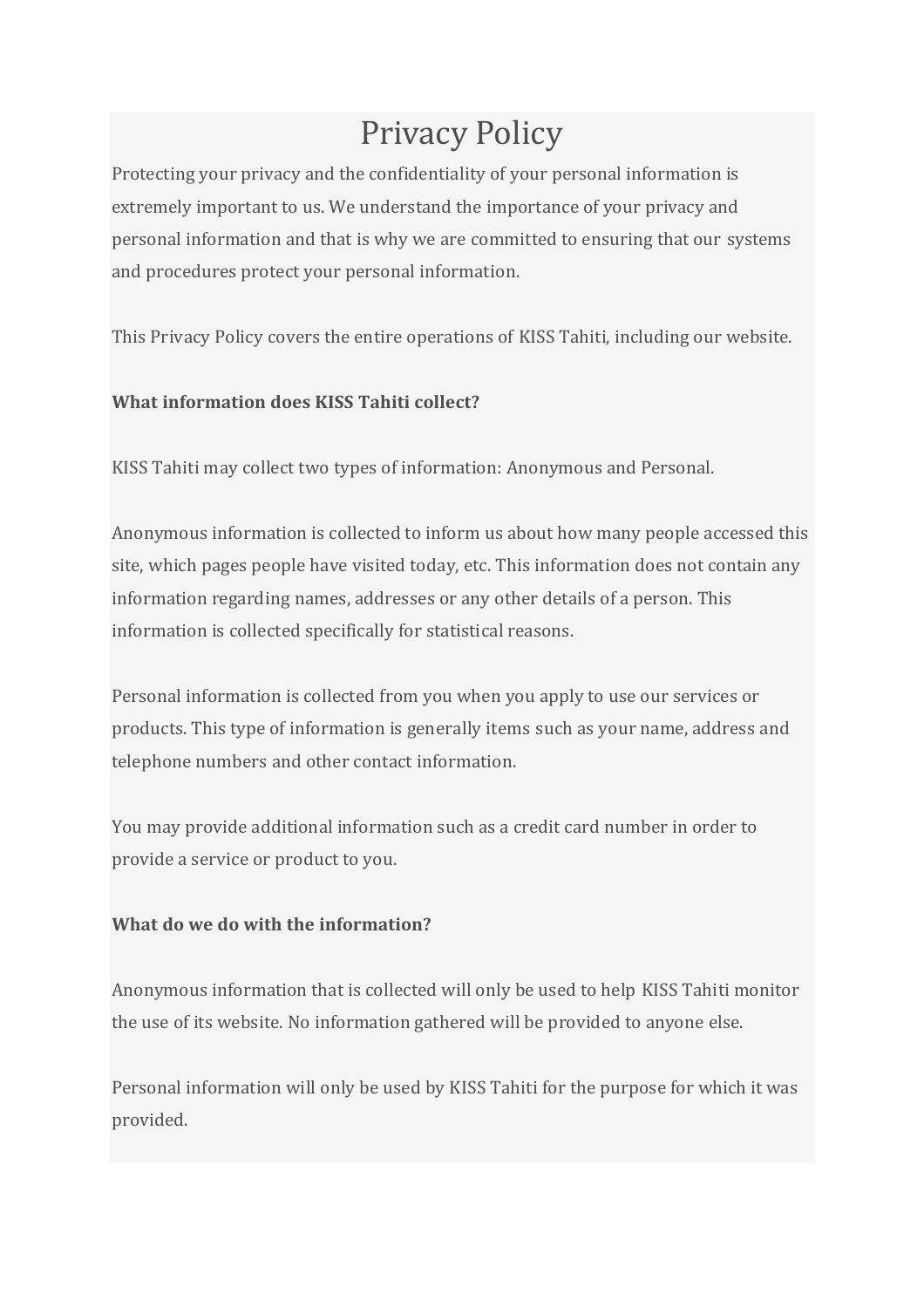# Privacy Policy

Protecting your privacy and the confidentiality of your personal information is extremely important to us. We understand the importance of your privacy and personal information and that is why we are committed to ensuring that our systems and procedures protect your personal information.

This Privacy Policy covers the entire operations of KISS Tahiti, including our website.

## **What information does KISS Tahiti collect?**

KISS Tahiti may collect two types of information: Anonymous and Personal.

Anonymous information is collected to inform us about how many people accessed this site, which pages people have visited today, etc. This information does not contain any information regarding names, addresses or any other details of a person. This information is collected specifically for statistical reasons.

Personal information is collected from you when you apply to use our services or products. This type of information is generally items such as your name, address and telephone numbers and other contact information.

You may provide additional information such as a credit card number in order to provide a service or product to you.

## **What do we do with the information?**

Anonymous information that is collected will only be used to help KISS Tahiti monitor the use of its website. No information gathered will be provided to anyone else.

Personal information will only be used by KISS Tahiti for the purpose for which it was provided.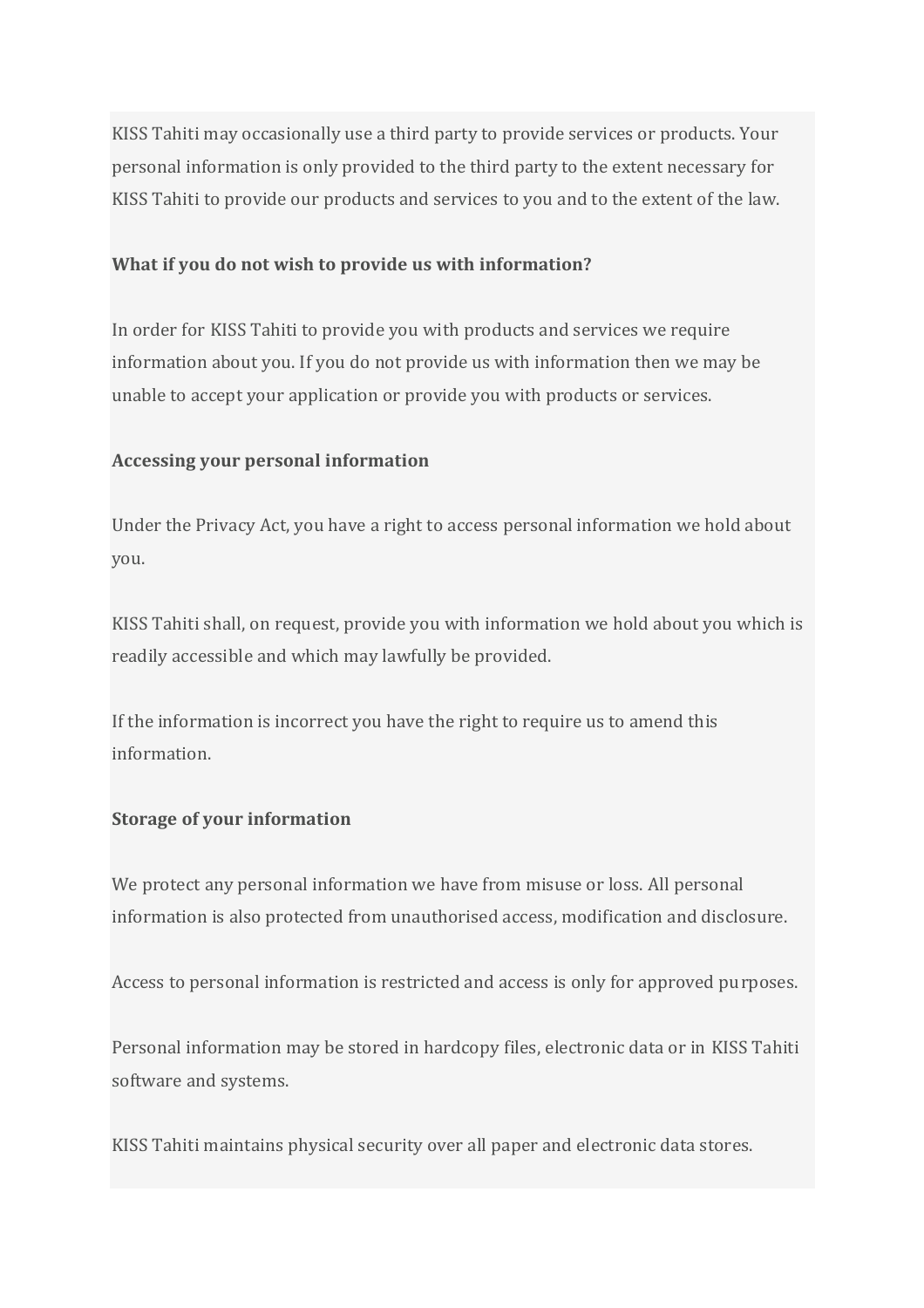KISS Tahiti may occasionally use a third party to provide services or products. Your personal information is only provided to the third party to the extent necessary for KISS Tahiti to provide our products and services to you and to the extent of the law.

#### **What if you do not wish to provide us with information?**

In order for KISS Tahiti to provide you with products and services we require information about you. If you do not provide us with information then we may be unable to accept your application or provide you with products or services.

#### **Accessing your personal information**

Under the Privacy Act, you have a right to access personal information we hold about you.

KISS Tahiti shall, on request, provide you with information we hold about you which is readily accessible and which may lawfully be provided.

If the information is incorrect you have the right to require us to amend this information.

## **Storage of your information**

We protect any personal information we have from misuse or loss. All personal information is also protected from unauthorised access, modification and disclosure.

Access to personal information is restricted and access is only for approved purposes.

Personal information may be stored in hardcopy files, electronic data or in KISS Tahiti software and systems.

KISS Tahiti maintains physical security over all paper and electronic data stores.